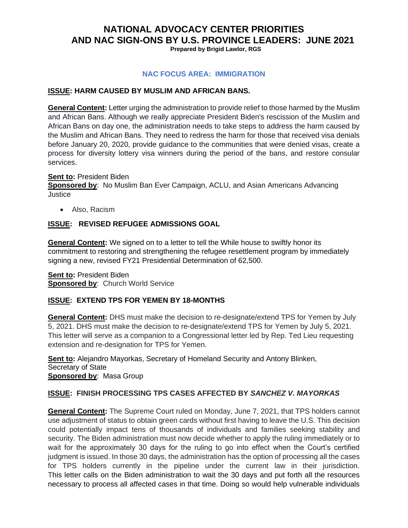# **NATIONAL ADVOCACY CENTER PRIORITIES AND NAC SIGN-ONS BY U.S. PROVINCE LEADERS: JUNE 2021**

**Prepared by Brigid Lawlor, RGS**

#### **NAC FOCUS AREA: IMMIGRATION**

#### **ISSUE: HARM CAUSED BY MUSLIM AND AFRICAN BANS.**

**General Content:** Letter urging the administration to provide relief to those harmed by the Muslim and African Bans. Although we really appreciate President Biden's rescission of the Muslim and African Bans on day one, the administration needs to take steps to address the harm caused by the Muslim and African Bans. They need to redress the harm for those that received visa denials before January 20, 2020, provide guidance to the communities that were denied visas, create a process for diversity lottery visa winners during the period of the bans, and restore consular services.

#### **Sent to:** President Biden

**Sponsored by**: No Muslim Ban Ever Campaign, ACLU, and Asian Americans Advancing **Justice** 

• Also, Racism

#### **ISSUE: REVISED REFUGEE ADMISSIONS GOAL**

**General Content:** We signed on to a letter to tell the While house to swiftly honor its commitment to restoring and strengthening the refugee resettlement program by immediately signing a new, revised FY21 Presidential Determination of 62,500.

**Sent to:** President Biden **Sponsored by: Church World Service** 

#### **ISSUE: EXTEND TPS FOR YEMEN BY 18-MONTHS**

**General Content:** DHS must make the decision to re-designate/extend TPS for Yemen by July 5, 2021. DHS must make the decision to re-designate/extend TPS for Yemen by July 5, 2021. This letter will serve as a companion to a Congressional letter led by Rep. Ted Lieu requesting extension and re-designation for TPS for Yemen.

**Sent to:** Alejandro Mayorkas, Secretary of Homeland Security and Antony Blinken, Secretary of State **Sponsored by**: Masa Group

#### **ISSUE: FINISH PROCESSING TPS CASES AFFECTED BY** *SANCHEZ V. MAYORKAS*

**General Content:** The Supreme Court ruled on Monday, June 7, 2021, that TPS holders cannot use adjustment of status to obtain green cards without first having to leave the U.S. This decision could potentially impact tens of thousands of individuals and families seeking stability and security. The Biden administration must now decide whether to apply the ruling immediately or to wait for the approximately 30 days for the ruling to go into effect when the Court's certified judgment is issued. In those 30 days, the administration has the option of processing all the cases for TPS holders currently in the pipeline under the current law in their jurisdiction. This letter calls on the Biden administration to wait the 30 days and put forth all the resources necessary to process all affected cases in that time. Doing so would help vulnerable individuals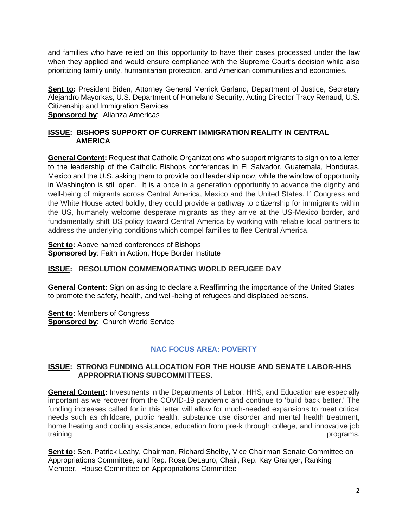and families who have relied on this opportunity to have their cases processed under the law when they applied and would ensure compliance with the Supreme Court's decision while also prioritizing family unity, humanitarian protection, and American communities and economies.

**Sent to:** President Biden, Attorney General Merrick Garland, Department of Justice, Secretary Alejandro Mayorkas, U.S. Department of Homeland Security, Acting Director Tracy Renaud, U.S. Citizenship and Immigration Services

**Sponsored by**: Alianza Americas

#### **ISSUE: BISHOPS SUPPORT OF CURRENT IMMIGRATION REALITY IN CENTRAL AMERICA**

**General Content:** Request that Catholic Organizations who support migrants to sign on to a letter to the leadership of the Catholic Bishops conferences in El Salvador, Guatemala, Honduras, Mexico and the U.S. asking them to provide bold leadership now, while the window of opportunity in Washington is still open. It is a once in a generation opportunity to advance the dignity and well-being of migrants across Central America, Mexico and the United States. If Congress and the White House acted boldly, they could provide a pathway to citizenship for immigrants within the US, humanely welcome desperate migrants as they arrive at the US-Mexico border, and fundamentally shift US policy toward Central America by working with reliable local partners to address the underlying conditions which compel families to flee Central America.

**Sent to:** Above named conferences of Bishops **Sponsored by**: Faith in Action, Hope Border Institute

#### **ISSUE: RESOLUTION COMMEMORATING WORLD REFUGEE DAY**

**General Content:** Sign on asking to declare a Reaffirming the importance of the United States to promote the safety, health, and well-being of refugees and displaced persons.

**Sent to: Members of Congress Sponsored by**: Church World Service

## **NAC FOCUS AREA: POVERTY**

#### **ISSUE: STRONG FUNDING ALLOCATION FOR THE HOUSE AND SENATE LABOR-HHS APPROPRIATIONS SUBCOMMITTEES.**

**General Content:** Investments in the Departments of Labor, HHS, and Education are especially important as we recover from the COVID-19 pandemic and continue to 'build back better.' The funding increases called for in this letter will allow for much-needed expansions to meet critical needs such as childcare, public health, substance use disorder and mental health treatment, home heating and cooling assistance, education from pre-k through college, and innovative job training programs.

**Sent to:** Sen. Patrick Leahy, Chairman, Richard Shelby, Vice Chairman Senate Committee on Appropriations Committee, and Rep. Rosa DeLauro, Chair, Rep. Kay Granger, Ranking Member, House Committee on Appropriations Committee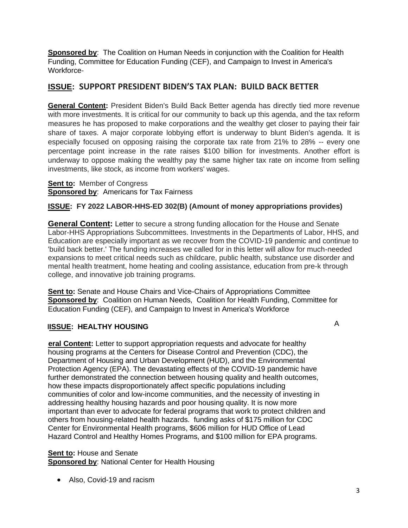**Sponsored by**: The [Coalition on Human Needs](https://u21316739.ct.sendgrid.net/ls/click?upn=n0h1zRv9K2FqtVgYytK3TQ6R5DDQ6EDW2yXImLSApTw-3DzpUj_YFubqbcpjvJOs7EvNZmygW51v-2BIFq6L6zpS1SDGkPvftj76im6kRmg2vp6jJyRMdcjfSKgsQElBDBRA3DIXANYn9Id94ID-2FIQP44FdH-2FSMBGissUqFP-2BNZuUgzmN1HZPYairZeG3IkBFB08uTe52Bas4hkEcPRNojjJGoHNPvNkDhqNRMuzC11YEqJZoP14BM-2F0tAxaX-2F7sDtJvuEsX8-2Bg-3D-3D) in conjunction with the [Coalition for Health](https://u21316739.ct.sendgrid.net/ls/click?upn=n0h1zRv9K2FqtVgYytK3TdVOQ-2F-2BPLVN6IWxtTfSnvoJ-2BtG5jrZaiuG-2B3yhRILcvlYSST_YFubqbcpjvJOs7EvNZmygW51v-2BIFq6L6zpS1SDGkPvftj76im6kRmg2vp6jJyRMdO5WQIVcQHOOeLADSRkkEXedUk1KUfsPa-2FGEnEyV4bccjbxicHamjhX8cyHAktuvZ82HmjT6mAyHBJTT95yTOR-2FY6RNMzyZsIdR3bQ1G3k64ZGTn5vAq9B6g55qOu3OQeBys-2BpaLYqgkjtoWWG5n6PA-3D-3D)  [Funding,](https://u21316739.ct.sendgrid.net/ls/click?upn=n0h1zRv9K2FqtVgYytK3TdVOQ-2F-2BPLVN6IWxtTfSnvoJ-2BtG5jrZaiuG-2B3yhRILcvlYSST_YFubqbcpjvJOs7EvNZmygW51v-2BIFq6L6zpS1SDGkPvftj76im6kRmg2vp6jJyRMdO5WQIVcQHOOeLADSRkkEXedUk1KUfsPa-2FGEnEyV4bccjbxicHamjhX8cyHAktuvZ82HmjT6mAyHBJTT95yTOR-2FY6RNMzyZsIdR3bQ1G3k64ZGTn5vAq9B6g55qOu3OQeBys-2BpaLYqgkjtoWWG5n6PA-3D-3D) [Committee for Education Funding \(CEF\),](https://u21316739.ct.sendgrid.net/ls/click?upn=n0h1zRv9K2FqtVgYytK3TUzK7x1kgSOzKsa2jMG-2BiLs-3DAeAq_YFubqbcpjvJOs7EvNZmygW51v-2BIFq6L6zpS1SDGkPvftj76im6kRmg2vp6jJyRMdh9Z9xWys2nj96ri6L-2BL-2BYTyglfb0rzlKp7HTxoE15qBRVdgPd7v-2F-2BCQuzwx93R-2Bp-2FIHHhfA0QaTykqc9SYRmpeNH7u1L7k-2BJ8wd-2BEQ5-2FPXNuS-2FZgF8yuu7cblLAalLyTgvWE-2Fkl15hlsAg5M9fFo4A-3D-3D) and [Campaign to Invest in America's](https://u21316739.ct.sendgrid.net/ls/click?upn=n0h1zRv9K2FqtVgYytK3TTmklSFV29xnw4Zd0WoMMe0jZlPYkeQE2-2BDTIB6o6eHsVhgZ_YFubqbcpjvJOs7EvNZmygW51v-2BIFq6L6zpS1SDGkPvftj76im6kRmg2vp6jJyRMdapO6vaZZS-2FKrAThChfHs26LNh2HCmqRRvPJ88nZjo0vgAgy92keZ-2B-2FlJ9-2F6MRFDV16mB2zKZpENarnVY9RT4M87H2VxmNlKyv9lAvlbD62pNfB-2B7Yqgdescy-2BEkkee9Mz-2B0NR8EJdZb0KuMpNAaiPQ-3D-3D)  [Workforce-](https://u21316739.ct.sendgrid.net/ls/click?upn=n0h1zRv9K2FqtVgYytK3TTmklSFV29xnw4Zd0WoMMe0jZlPYkeQE2-2BDTIB6o6eHsVhgZ_YFubqbcpjvJOs7EvNZmygW51v-2BIFq6L6zpS1SDGkPvftj76im6kRmg2vp6jJyRMdapO6vaZZS-2FKrAThChfHs26LNh2HCmqRRvPJ88nZjo0vgAgy92keZ-2B-2FlJ9-2F6MRFDV16mB2zKZpENarnVY9RT4M87H2VxmNlKyv9lAvlbD62pNfB-2B7Yqgdescy-2BEkkee9Mz-2B0NR8EJdZb0KuMpNAaiPQ-3D-3D)

## **ISSUE: SUPPORT PRESIDENT BIDEN'S TAX PLAN: BUILD BACK BETTER**

**General Content:** President Biden's Build Back Better agenda has directly tied more revenue with more investments. It is critical for our community to back up this agenda, and the tax reform measures he has proposed to make corporations and the wealthy get closer to paying their fair share of taxes. A major corporate lobbying effort is underway to blunt Biden's agenda. It is especially focused on opposing raising the corporate tax rate from 21% to 28% -- every one percentage point increase in the rate raises \$100 billion for investments. Another effort is underway to oppose making the wealthy pay the same higher tax rate on income from selling investments, like stock, as income from workers' wages.

**Sent to:** Member of Congress **Sponsored by**: Americans for Tax Fairness

## **ISSUE: FY 2022 LABOR-HHS-ED 302(B) (Amount of money appropriations provides)**

**General Content:** Letter to secure a strong funding allocation for the House and Senate Labor-HHS Appropriations Subcommittees. Investments in the Departments of Labor, HHS, and Education are especially important as we recover from the COVID-19 pandemic and continue to 'build back better.' The funding increases we called for in this letter will allow for much-needed expansions to meet critical needs such as childcare, public health, substance use disorder and mental health treatment, home heating and cooling assistance, education from pre-k through college, and innovative job training programs.

**Sent to:** Senate and House Chairs and Vice-Chairs of Appropriations Committee **Sponsored by**: Coalition on Human Needs, [Coalition for Health Funding,](https://u21316739.ct.sendgrid.net/ls/click?upn=n0h1zRv9K2FqtVgYytK3TdVOQ-2F-2BPLVN6IWxtTfSnvoJ-2BtG5jrZaiuG-2B3yhRILcvlYSST_YFubqbcpjvJOs7EvNZmygW51v-2BIFq6L6zpS1SDGkPvftj76im6kRmg2vp6jJyRMdO5WQIVcQHOOeLADSRkkEXedUk1KUfsPa-2FGEnEyV4bccjbxicHamjhX8cyHAktuvZ82HmjT6mAyHBJTT95yTOR-2FY6RNMzyZsIdR3bQ1G3k64ZGTn5vAq9B6g55qOu3OQeBys-2BpaLYqgkjtoWWG5n6PA-3D-3D) [Committee for](https://u21316739.ct.sendgrid.net/ls/click?upn=n0h1zRv9K2FqtVgYytK3TUzK7x1kgSOzKsa2jMG-2BiLs-3DAeAq_YFubqbcpjvJOs7EvNZmygW51v-2BIFq6L6zpS1SDGkPvftj76im6kRmg2vp6jJyRMdh9Z9xWys2nj96ri6L-2BL-2BYTyglfb0rzlKp7HTxoE15qBRVdgPd7v-2F-2BCQuzwx93R-2Bp-2FIHHhfA0QaTykqc9SYRmpeNH7u1L7k-2BJ8wd-2BEQ5-2FPXNuS-2FZgF8yuu7cblLAalLyTgvWE-2Fkl15hlsAg5M9fFo4A-3D-3D)  [Education Funding \(CEF\),](https://u21316739.ct.sendgrid.net/ls/click?upn=n0h1zRv9K2FqtVgYytK3TUzK7x1kgSOzKsa2jMG-2BiLs-3DAeAq_YFubqbcpjvJOs7EvNZmygW51v-2BIFq6L6zpS1SDGkPvftj76im6kRmg2vp6jJyRMdh9Z9xWys2nj96ri6L-2BL-2BYTyglfb0rzlKp7HTxoE15qBRVdgPd7v-2F-2BCQuzwx93R-2Bp-2FIHHhfA0QaTykqc9SYRmpeNH7u1L7k-2BJ8wd-2BEQ5-2FPXNuS-2FZgF8yuu7cblLAalLyTgvWE-2Fkl15hlsAg5M9fFo4A-3D-3D) and [Campaign to Invest in America's Workforce](https://u21316739.ct.sendgrid.net/ls/click?upn=n0h1zRv9K2FqtVgYytK3TTmklSFV29xnw4Zd0WoMMe0jZlPYkeQE2-2BDTIB6o6eHsVhgZ_YFubqbcpjvJOs7EvNZmygW51v-2BIFq6L6zpS1SDGkPvftj76im6kRmg2vp6jJyRMdapO6vaZZS-2FKrAThChfHs26LNh2HCmqRRvPJ88nZjo0vgAgy92keZ-2B-2FlJ9-2F6MRFDV16mB2zKZpENarnVY9RT4M87H2VxmNlKyv9lAvlbD62pNfB-2B7Yqgdescy-2BEkkee9Mz-2B0NR8EJdZb0KuMpNAaiPQ-3D-3D)

## **IISSUE: HEALTHY HOUSING**

A

**eral Content:** Letter to support appropriation requests and advocate for healthy housing programs at the Centers for Disease Control and Prevention (CDC), the Department of Housing and Urban Development (HUD), and the Environmental Protection Agency (EPA). The devastating effects of the COVID-19 pandemic have further demonstrated the connection between housing quality and health outcomes, how these impacts disproportionately affect specific populations including communities of color and low-income communities, and the necessity of investing in addressing healthy housing hazards and poor housing quality. It is now more important than ever to advocate for federal programs that work to protect children and others from housing-related health hazards. funding asks of \$175 million for CDC Center for Environmental Health programs, \$606 million for HUD Office of Lead Hazard Control and Healthy Homes Programs, and \$100 million for EPA programs.

**Sent to: House and Senate Sponsored by: National Center for Health Housing** 

• Also, Covid-19 and racism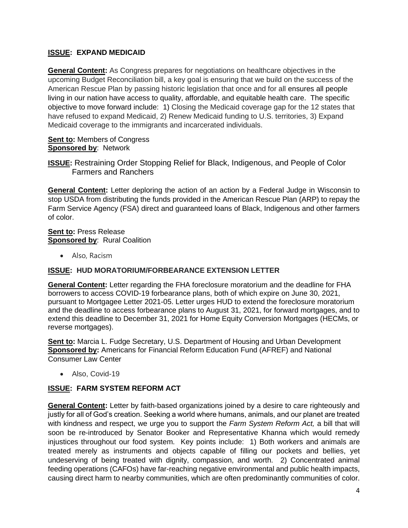## **ISSUE: EXPAND MEDICAID**

**General Content:** As Congress prepares for negotiations on healthcare objectives in the upcoming Budget Reconciliation bill, a key goal is ensuring that we build on the success of the American Rescue Plan by passing historic legislation that once and for all ensures all people living in our nation have access to quality, affordable, and equitable health care. The specific objective to move forward include: 1) Closing the Medicaid coverage gap for the 12 states that have refused to expand Medicaid, 2) Renew Medicaid funding to U.S. territories, 3) Expand Medicaid coverage to the immigrants and incarcerated individuals.

#### **Sent to:** Members of Congress **Sponsored by**: Network

**ISSUE:** Restraining Order Stopping Relief for Black, Indigenous, and People of Color Farmers and Ranchers

**General Content:** Letter deploring the action of an action by a Federal Judge in Wisconsin to stop USDA from distributing the funds provided in the American Rescue Plan (ARP) to repay the Farm Service Agency (FSA) direct and guaranteed loans of Black, Indigenous and other farmers of color.

**Sent to: Press Release Sponsored by**: Rural Coalition

• Also, Racism

## **ISSUE: HUD MORATORIUM/FORBEARANCE EXTENSION LETTER**

**General Content:** Letter regarding the FHA foreclosure moratorium and the deadline for FHA borrowers to access COVID-19 forbearance plans, both of which expire on June 30, 2021, pursuant to Mortgagee Letter 2021-05. Letter urges HUD to extend the foreclosure moratorium and the deadline to access forbearance plans to August 31, 2021, for forward mortgages, and to extend this deadline to December 31, 2021 for Home Equity Conversion Mortgages (HECMs, or reverse mortgages).

Sent to: Marcia L. Fudge Secretary, U.S. Department of Housing and Urban Development **Sponsored by:** Americans for Financial Reform Education Fund (AFREF) and National Consumer Law Center

• Also, Covid-19

## **ISSUE: FARM SYSTEM REFORM ACT**

**General Content:** Letter by faith-based organizations joined by a desire to care righteously and justly for all of God's creation. Seeking a world where humans, animals, and our planet are treated with kindness and respect, we urge you to support the *Farm System Reform Act,* a bill that will soon be re-introduced by Senator Booker and Representative Khanna which would remedy injustices throughout our food system. Key points include: 1) Both workers and animals are treated merely as instruments and objects capable of filling our pockets and bellies, yet undeserving of being treated with dignity, compassion, and worth. 2) Concentrated animal feeding operations (CAFOs) have far-reaching negative environmental and public health impacts, causing direct harm to nearby communities, which are often predominantly communities of color.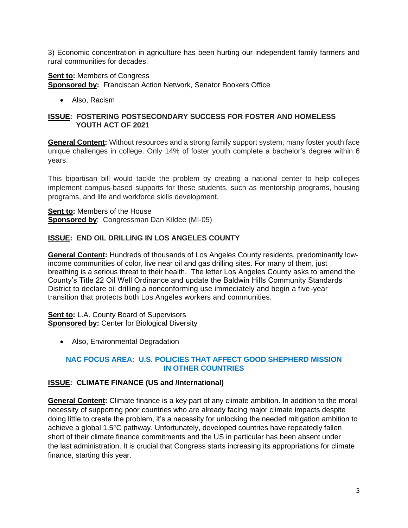3) Economic concentration in agriculture has been hurting our independent family farmers and rural communities for decades.

**Sent to:** Members of Congress **Sponsored by:** Franciscan Action Network, Senator Bookers Office

• Also, Racism

#### **ISSUE: FOSTERING POSTSECONDARY SUCCESS FOR FOSTER AND HOMELESS YOUTH ACT OF 2021**

**General Content:** Without resources and a strong family support system, many foster youth face unique challenges in college. Only 14% of foster youth complete a bachelor's degree within 6 years.

This bipartisan bill would tackle the problem by creating a national center to help colleges implement campus-based supports for these students, such as mentorship programs, housing programs, and life and workforce skills development.

**Sent to:** Members of the House **Sponsored by:** Congressman Dan Kildee (MI-05)

## **ISSUE: END OIL DRILLING IN LOS ANGELES COUNTY**

**General Content:** Hundreds of thousands of Los Angeles County residents, predominantly lowincome communities of color, live near oil and gas drilling sites. For many of them, just breathing is a serious threat to their health. The letter Los Angeles County asks to amend the County's Title 22 Oil Well Ordinance and update the Baldwin Hills Community Standards District to declare oil drilling a nonconforming use immediately and begin a five-year transition that protects both Los Angeles workers and communities.

**Sent to: L.A. County Board of Supervisors Sponsored by: Center for Biological Diversity** 

• Also, Environmental Degradation

## **NAC FOCUS AREA: U.S. POLICIES THAT AFFECT GOOD SHEPHERD MISSION IN OTHER COUNTRIES**

## **ISSUE: CLIMATE FINANCE (US and /International)**

**General Content:** Climate finance is a key part of any climate ambition. In addition to the moral necessity of supporting poor countries who are already facing major climate impacts despite doing little to create the problem, it's a necessity for unlocking the needed mitigation ambition to achieve a global 1.5°C pathway. Unfortunately, developed countries have repeatedly fallen short of their climate finance commitments and the US in particular has been absent under the last administration. It is crucial that Congress starts increasing its appropriations for climate finance, starting this year.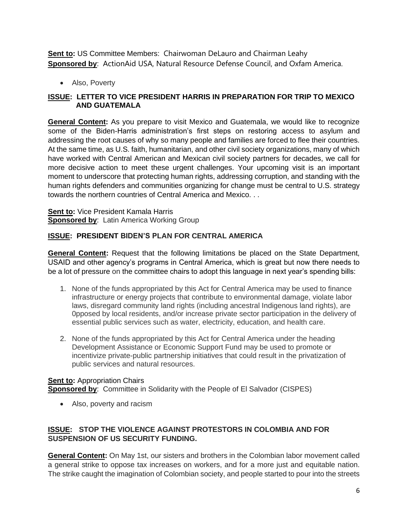**Sent to:** US Committee Members: Chairwoman DeLauro and Chairman Leahy **Sponsored by**: ActionAid USA, Natural Resource Defense Council, and Oxfam America.

• Also, Poverty

## **ISSUE: LETTER TO VICE PRESIDENT HARRIS IN PREPARATION FOR TRIP TO MEXICO AND GUATEMALA**

**General Content:** As you prepare to visit Mexico and Guatemala, we would like to recognize some of the Biden-Harris administration's first steps on restoring access to asylum and addressing the root causes of why so many people and families are forced to flee their countries. At the same time, as U.S. faith, humanitarian, and other civil society organizations, many of which have worked with Central American and Mexican civil society partners for decades, we call for more decisive action to meet these urgent challenges. Your upcoming visit is an important moment to underscore that protecting human rights, addressing corruption, and standing with the human rights defenders and communities organizing for change must be central to U.S. strategy towards the northern countries of Central America and Mexico. . .

**Sent to: Vice President Kamala Harris Sponsored by: Latin America Working Group** 

## **ISSUE: PRESIDENT BIDEN'S PLAN FOR CENTRAL AMERICA**

**General Content:** Request that the following limitations be placed on the State Department, USAID and other agency's programs in Central America, which is great but now there needs to be a lot of pressure on the committee chairs to adopt this language in next year's spending bills:

- 1. None of the funds appropriated by this Act for Central America may be used to finance infrastructure or energy projects that contribute to environmental damage, violate labor laws, disregard community land rights (including ancestral Indigenous land rights), are 0pposed by local residents, and/or increase private sector participation in the delivery of essential public services such as water, electricity, education, and health care.
- 2. None of the funds appropriated by this Act for Central America under the heading Development Assistance or Economic Support Fund may be used to promote or incentivize private-public partnership initiatives that could result in the privatization of public services and natural resources.

# **Sent to: Appropriation Chairs**

**Sponsored by**: Committee in Solidarity with the People of El Salvador (CISPES)

• Also, poverty and racism

## **ISSUE: STOP THE VIOLENCE AGAINST PROTESTORS IN COLOMBIA AND FOR SUSPENSION OF US SECURITY FUNDING.**

**General Content:** On May 1st, our sisters and brothers in the Colombian labor movement called a general strike to oppose tax increases on workers, and for a more just and equitable nation. The strike caught the imagination of Colombian society, and people started to pour into the streets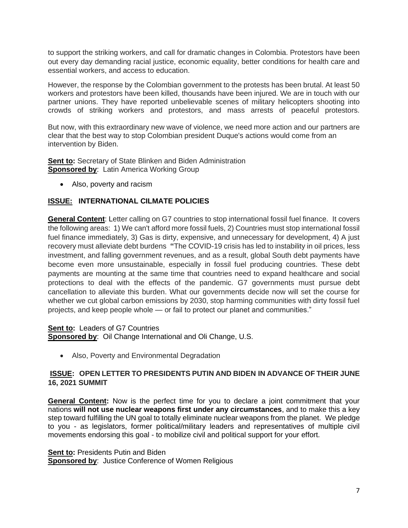to support the striking workers, and call for dramatic changes in Colombia. Protestors have been out every day demanding racial justice, economic equality, better conditions for health care and essential workers, and access to education.

However, the response by the Colombian government to the protests has been brutal. At least 50 workers and protestors have been killed, thousands have been injured. We are in touch with our partner unions. They have reported unbelievable scenes of military helicopters shooting into crowds of striking workers and protestors, and mass arrests of peaceful protestors.

But now, with this extraordinary new wave of violence, we need more action and our partners are clear that the best way to stop Colombian president Duque's actions would come from an intervention by Biden.

**Sent to:** Secretary of State Blinken and Biden Administration **Sponsored by: Latin America Working Group** 

• Also, poverty and racism

## **ISSUE: INTERNATIONAL CILMATE POLICIES**

**General Content**: Letter calling on G7 countries to stop international fossil fuel finance. It covers the following areas: 1) We can't afford more fossil fuels, 2) Countries must stop international fossil fuel finance immediately, 3) Gas is dirty, expensive, and unnecessary for development, 4) A just recovery must alleviate debt burdens **"**The COVID-19 crisis has led to instability in oil prices, less investment, and falling government revenues, and as a result, global South debt payments have become even more unsustainable, especially in fossil fuel producing countries. These debt payments are mounting at the same time that countries need to expand healthcare and social protections to deal with the effects of the pandemic. G7 governments must pursue debt cancellation to alleviate this burden. What our governments decide now will set the course for whether we cut global carbon emissions by 2030, stop harming communities with dirty fossil fuel projects, and keep people whole — or fail to protect our planet and communities."

**Sent to:** Leaders of G7 Countries

**Sponsored by**: Oil Change International and Oli Change, U.S.

• Also, Poverty and Environmental Degradation

#### **ISSUE: OPEN LETTER TO PRESIDENTS PUTIN AND BIDEN IN ADVANCE OF THEIR JUNE 16, 2021 SUMMIT**

**General Content:** Now is the perfect time for you to declare a joint commitment that your nations **will not use nuclear weapons first under any circumstances**, and to make this a key step toward fulfilling the UN goal to totally eliminate nuclear weapons from the planet. We pledge to you - as legislators, former political/military leaders and representatives of multiple civil movements endorsing this goal - to mobilize civil and political support for your effort.

**Sent to: Presidents Putin and Biden Sponsored by:** Justice Conference of Women Religious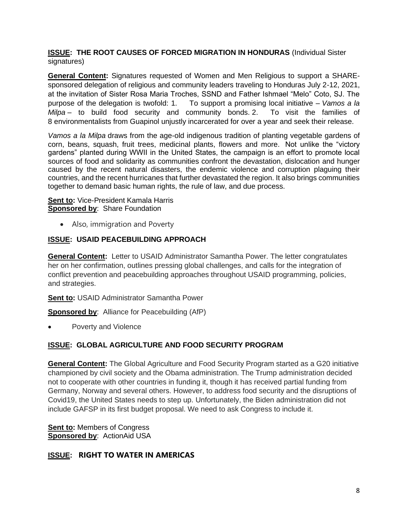#### **ISSUE: THE ROOT CAUSES OF FORCED MIGRATION IN HONDURAS** (Individual Sister signatures)

**General Content:** Signatures requested of Women and Men Religious to support a SHAREsponsored delegation of religious and community leaders traveling to Honduras July 2-12, 2021, at the invitation of Sister Rosa Maria Troches, SSND and Father Ishmael "Melo" Coto, SJ. The purpose of the delegation is twofold: 1. To support a promising local initiative – *Vamos a la Milpa* – to build food security and community bonds. 2. To visit the families of 8 [environmentalists](https://guapinolresiste.wixsite.com/freedomforguapinol) from Guapinol unjustly incarcerated for over a year and seek their release.

*Vamos a la Milpa* draws from the age-old indigenous tradition of planting vegetable gardens of corn, beans, squash, fruit trees, medicinal plants, flowers and more. Not unlike the "victory gardens" planted during WWII in the United States, the campaign is an effort to promote local sources of food and solidarity as communities confront the devastation, dislocation and hunger caused by the recent natural disasters, the endemic violence and corruption plaguing their countries, and the recent hurricanes that further devastated the region. It also brings communities together to demand basic human rights, the rule of law, and due process.

#### **Sent to: Vice-President Kamala Harris Sponsored by: Share Foundation**

• Also, immigration and Poverty

## **ISSUE: USAID PEACEBUILDING APPROACH**

**General Content:** Letter to USAID Administrator Samantha Power. The letter congratulates her on her confirmation, outlines pressing global challenges, and calls for the integration of conflict prevention and peacebuilding approaches throughout USAID programming, policies, and strategies.

**Sent to: USAID Administrator Samantha Power** 

**Sponsored by**: Alliance for Peacebuilding (AfP)

• Poverty and Violence

## **ISSUE: GLOBAL AGRICULTURE AND FOOD SECURITY PROGRAM**

**General Content:** The Global Agriculture and Food Security Program started as a G20 initiative championed by civil society and the Obama administration. The Trump administration decided not to cooperate with other countries in funding it, though it has received partial funding from Germany, Norway and several others. However, to address food security and the disruptions of Covid19, the United States needs to step up. Unfortunately, the Biden administration did not include GAFSP in its first budget proposal. We need to ask Congress to include it.

**Sent to:** Members of Congress **Sponsored by**: ActionAid USA

## **ISSUE: RIGHT TO WATER IN AMERICAS**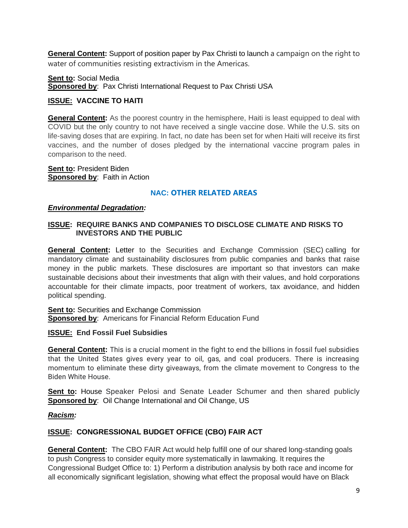**General Content:** Support of position paper by Pax Christi to launch a campaign on the right to water of communities resisting extractivism in the Americas.

**Sent to:** Social Media **Sponsored by**: Pax Christi International Request to Pax Christi USA

## **ISSUE: VACCINE TO HAITI**

**General Content:** As the poorest country in the hemisphere, Haiti is least equipped to deal with COVID but the only country to not have received a single vaccine dose. While the U.S. sits on life-saving doses that are expiring. In fact, no date has been set for when Haiti will receive its first vaccines, and the number of doses pledged by the international vaccine program pales in comparison to the need.

**Sent to:** President Biden **Sponsored by:** Faith in Action

#### **NAC: OTHER RELATED AREAS**

#### *Environmental Degradation:*

#### **ISSUE: REQUIRE BANKS AND COMPANIES TO DISCLOSE CLIMATE AND RISKS TO INVESTORS AND THE PUBLIC**

**General Content:** Letter to the Securities and Exchange Commission (SEC) calling for mandatory climate and sustainability disclosures from public companies and banks that raise money in the public markets. These disclosures are important so that investors can make sustainable decisions about their investments that align with their values, and hold corporations accountable for their climate impacts, poor treatment of workers, tax avoidance, and hidden political spending.

**Sent to:** Securities and Exchange Commission **Sponsored by**: Americans for Financial Reform Education Fund

#### **ISSUE: End Fossil Fuel Subsidies**

**General Content:** This is a crucial moment in the fight to end the billions in fossil fuel subsidies that the United States gives every year to oil, gas, and coal producers. There is increasing momentum to eliminate these dirty giveaways, from the climate movement to Congress to the Biden White House.

**Sent to:** House Speaker Pelosi and Senate Leader Schumer and then shared publicly **Sponsored by**: Oil Change International and Oil Change, US

#### *Racism:*

#### **ISSUE: CONGRESSIONAL BUDGET OFFICE (CBO) FAIR ACT**

**General Content:** The CBO FAIR Act would help fulfill one of our shared long-standing goals to push Congress to consider equity more systematically in lawmaking. It requires the Congressional Budget Office to: 1) Perform a distribution analysis by both race and income for all economically significant legislation, showing what effect the proposal would have on Black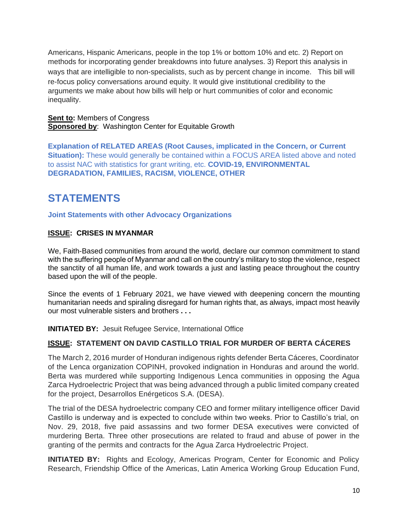Americans, Hispanic Americans, people in the top 1% or bottom 10% and etc. 2) Report on methods for incorporating gender breakdowns into future analyses. 3) Report this analysis in ways that are intelligible to non-specialists, such as by percent change in income. This bill will re-focus policy conversations around equity. It would give institutional credibility to the arguments we make about how bills will help or hurt communities of color and economic inequality.

**Sent to: Members of Congress Sponsored by: Washington Center for Equitable Growth** 

**Explanation of RELATED AREAS (Root Causes, implicated in the Concern, or Current Situation):** These would generally be contained within a FOCUS AREA listed above and noted to assist NAC with statistics for grant writing, etc. **COVID-19, ENVIRONMENTAL DEGRADATION, FAMILIES, RACISM, VIOLENCE, OTHER**

# **STATEMENTS**

#### **Joint Statements with other Advocacy Organizations**

#### **ISSUE: CRISES IN MYANMAR**

We, Faith-Based communities from around the world, declare our common commitment to stand with the suffering people of Myanmar and call on the country's military to stop the violence, respect the sanctity of all human life, and work towards a just and lasting peace throughout the country based upon the will of the people.

Since the events of 1 February 2021, we have viewed with deepening concern the mounting humanitarian needs and spiraling disregard for human rights that, as always, impact most heavily our most vulnerable sisters and brothers **. . .** 

**INITIATED BY:** Jesuit Refugee Service, International Office

## **ISSUE: STATEMENT ON DAVID CASTILLO TRIAL FOR MURDER OF BERTA CÁCERES**

The March 2, 2016 murder of Honduran indigenous rights defender Berta Cáceres, Coordinator of the Lenca organization COPINH, provoked indignation in Honduras and around the world. Berta was murdered while supporting Indigenous Lenca communities in opposing the Agua Zarca Hydroelectric Project that was being advanced through a public limited company created for the project, Desarrollos Enérgeticos S.A. (DESA).

The trial of the DESA hydroelectric company CEO and former military intelligence officer David Castillo is underway and is expected to conclude within two weeks. Prior to Castillo's trial, on Nov. 29, 2018, five paid assassins and two former DESA executives were convicted of murdering Berta. Three other prosecutions are related to fraud and abuse of power in the granting of the permits and contracts for the Agua Zarca Hydroelectric Project.

**INITIATED BY:** Rights and Ecology, Americas Program, Center for Economic and Policy Research, Friendship Office of the Americas, Latin America Working Group Education Fund,